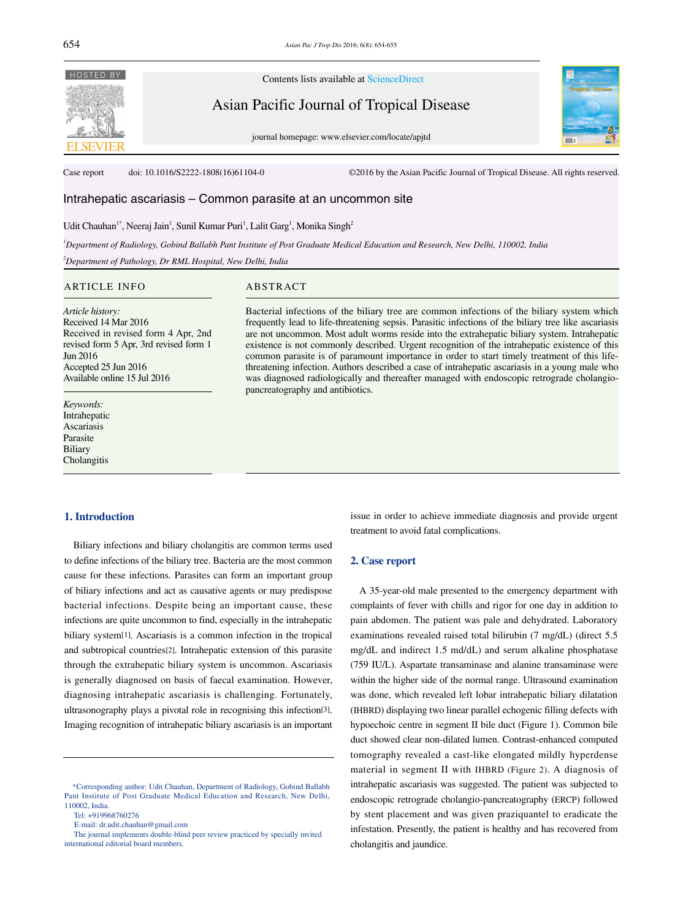

Contents lists available at ScienceDirect

Asian Pacific Journal of Tropical Disease

journal homepage: www.elsevier.com/locate/apjtd



Case report doi: 10.1016/S2222-1808(16)61104-0 ©2016 by the Asian Pacific Journal of Tropical Disease. All rights reserved.

# Intrahepatic ascariasis – Common parasite at an uncommon site

## Udit Chauhan<sup>1\*</sup>, Neeraj Jain<sup>1</sup>, Sunil Kumar Puri<sup>1</sup>, Lalit Garg<sup>1</sup>, Monika Singh<sup>2</sup>

*1 Department of Radiology, Gobind Ballabh Pant Institute of Post Graduate Medical Education and Research, New Delhi, 110002, India* 

*2 Department of Pathology, Dr RML Hospital, New Delhi, India* 

#### ARTICLE INFO ABSTRACT

*Article history:* Received 14 Mar 2016 Received in revised form 4 Apr, 2nd revised form 5 Apr, 3rd revised form 1 Jun 2016 Accepted 25 Jun 2016 Available online 15 Jul 2016

*Keywords:* Intrahepatic Ascariasis Parasite Biliary **Cholangitis** 

#### **1. Introduction**

 Biliary infections and biliary cholangitis are common terms used to define infections of the biliary tree. Bacteria are the most common cause for these infections. Parasites can form an important group of biliary infections and act as causative agents or may predispose bacterial infections. Despite being an important cause, these infections are quite uncommon to find, especially in the intrahepatic biliary system[1]. Ascariasis is a common infection in the tropical and subtropical countries[2]. Intrahepatic extension of this parasite through the extrahepatic biliary system is uncommon. Ascariasis is generally diagnosed on basis of faecal examination. However, diagnosing intrahepatic ascariasis is challenging. Fortunately, ultrasonography plays a pivotal role in recognising this infection[3]. Imaging recognition of intrahepatic biliary ascariasis is an important

Tel: +919968760276

was diagnosed radiologically and thereafter managed with endoscopic retrograde cholangiopancreatography and antibiotics.

Bacterial infections of the biliary tree are common infections of the biliary system which frequently lead to life-threatening sepsis. Parasitic infections of the biliary tree like ascariasis are not uncommon. Most adult worms reside into the extrahepatic biliary system. Intrahepatic existence is not commonly described. Urgent recognition of the intrahepatic existence of this common parasite is of paramount importance in order to start timely treatment of this lifethreatening infection. Authors described a case of intrahepatic ascariasis in a young male who

> issue in order to achieve immediate diagnosis and provide urgent treatment to avoid fatal complications.

### **2. Case report**

 A 35-year-old male presented to the emergency department with complaints of fever with chills and rigor for one day in addition to pain abdomen. The patient was pale and dehydrated. Laboratory examinations revealed raised total bilirubin (7 mg/dL) (direct 5.5 mg/dL and indirect 1.5 md/dL) and serum alkaline phosphatase (759 IU/L). Aspartate transaminase and alanine transaminase were within the higher side of the normal range. Ultrasound examination was done, which revealed left lobar intrahepatic biliary dilatation (IHBRD) displaying two linear parallel echogenic filling defects with hypoechoic centre in segment II bile duct (Figure 1). Common bile duct showed clear non-dilated lumen. Contrast-enhanced computed tomography revealed a cast-like elongated mildly hyperdense material in segment II with IHBRD (Figure 2). A diagnosis of intrahepatic ascariasis was suggested. The patient was subjected to endoscopic retrograde cholangio-pancreatography (ERCP) followed by stent placement and was given praziquantel to eradicate the infestation. Presently, the patient is healthy and has recovered from cholangitis and jaundice.

 <sup>\*</sup>Corresponding author: Udit Chauhan, Department of Radiology, Gobind Ballabh Pant Institute of Post Graduate Medical Education and Research, New Delhi, 110002, India.

E-mail: dr.udit.chauhan@gmail.com

The journal implements double-blind peer review practiced by specially invited international editorial board members.